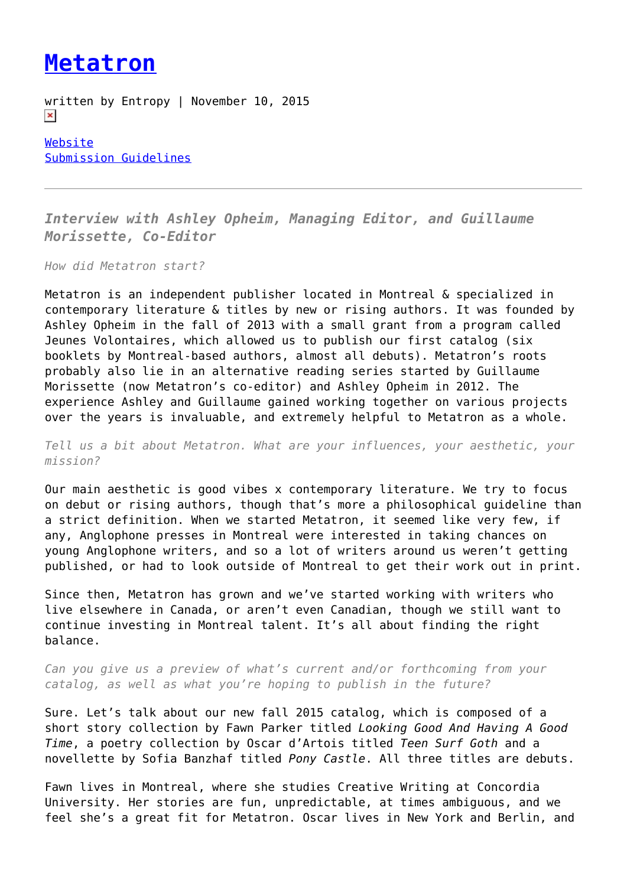## **[Metatron](https://entropymag.org/metatron/)**

written by Entropy | November 10, 2015  $\pmb{\times}$ 

[Website](http://www.onmetatron.com/) [Submission Guidelines](http://www.onmetatron.com/about/)

*Interview with Ashley Opheim, Managing Editor, and Guillaume Morissette, Co-Editor*

*How did Metatron start?*

Metatron is an independent publisher located in Montreal & specialized in contemporary literature & titles by new or rising authors. It was founded by Ashley Opheim in the fall of 2013 with a small grant from a program called Jeunes Volontaires, which allowed us to publish our first catalog (six booklets by Montreal-based authors, almost all debuts). Metatron's roots probably also lie in an alternative reading series started by Guillaume Morissette (now Metatron's co-editor) and Ashley Opheim in 2012. The experience Ashley and Guillaume gained working together on various projects over the years is invaluable, and extremely helpful to Metatron as a whole.

*Tell us a bit about Metatron. What are your influences, your aesthetic, your mission?*

Our main aesthetic is good vibes x contemporary literature. We try to focus on debut or rising authors, though that's more a philosophical guideline than a strict definition. When we started Metatron, it seemed like very few, if any, Anglophone presses in Montreal were interested in taking chances on young Anglophone writers, and so a lot of writers around us weren't getting published, or had to look outside of Montreal to get their work out in print.

Since then, Metatron has grown and we've started working with writers who live elsewhere in Canada, or aren't even Canadian, though we still want to continue investing in Montreal talent. It's all about finding the right balance.

*Can you give us a preview of what's current and/or forthcoming from your catalog, as well as what you're hoping to publish in the future?*

Sure. Let's talk about our new fall 2015 catalog, which is composed of a short story collection by Fawn Parker titled *Looking Good And Having A Good Time*, a poetry collection by Oscar d'Artois titled *Teen Surf Goth* and a novellette by Sofia Banzhaf titled *Pony Castle*. All three titles are debuts.

Fawn lives in Montreal, where she studies Creative Writing at Concordia University. Her stories are fun, unpredictable, at times ambiguous, and we feel she's a great fit for Metatron. Oscar lives in New York and Berlin, and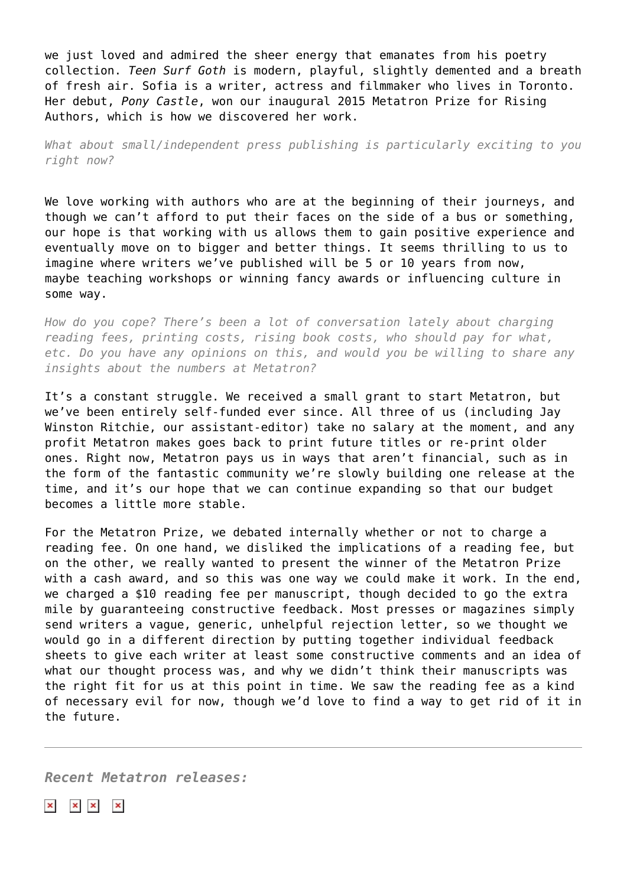we just loved and admired the sheer energy that emanates from his poetry collection. *Teen Surf Goth* is modern, playful, slightly demented and a breath of fresh air. Sofia is a writer, actress and filmmaker who lives in Toronto. Her debut, *Pony Castle*, won our inaugural 2015 Metatron Prize for Rising Authors, which is how we discovered her work.

*What about small/independent press publishing is particularly exciting to you right now?*

We love working with authors who are at the beginning of their journeys, and though we can't afford to put their faces on the side of a bus or something, our hope is that working with us allows them to gain positive experience and eventually move on to bigger and better things. It seems thrilling to us to imagine where writers we've published will be 5 or 10 years from now, maybe teaching workshops or winning fancy awards or influencing culture in some way.

*How do you cope? There's been a lot of conversation lately about charging reading fees, printing costs, rising book costs, who should pay for what, etc. Do you have any opinions on this, and would you be willing to share any insights about the numbers at Metatron?*

It's a constant struggle. We received a small grant to start Metatron, but we've been entirely self-funded ever since. All three of us (including Jay Winston Ritchie, our assistant-editor) take no salary at the moment, and any profit Metatron makes goes back to print future titles or re-print older ones. Right now, Metatron pays us in ways that aren't financial, such as in the form of the fantastic community we're slowly building one release at the time, and it's our hope that we can continue expanding so that our budget becomes a little more stable.

For the Metatron Prize, we debated internally whether or not to charge a reading fee. On one hand, we disliked the implications of a reading fee, but on the other, we really wanted to present the winner of the Metatron Prize with a cash award, and so this was one way we could make it work. In the end, we charged a \$10 reading fee per manuscript, though decided to go the extra mile by guaranteeing constructive feedback. Most presses or magazines simply send writers a vague, generic, unhelpful rejection letter, so we thought we would go in a different direction by putting together individual feedback sheets to give each writer at least some constructive comments and an idea of what our thought process was, and why we didn't think their manuscripts was the right fit for us at this point in time. We saw the reading fee as a kind of necessary evil for now, though we'd love to find a way to get rid of it in the future.

*Recent Metatron releases:*